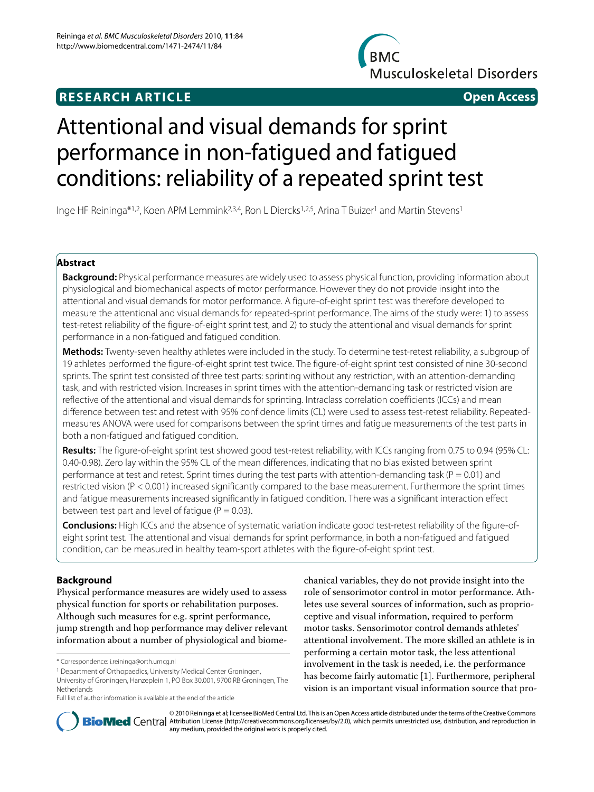# **RESEARCH ARTICLE Open Access**



# Attentional and visual demands for sprint performance in non-fatigued and fatigued conditions: reliability of a repeated sprint test

Inge HF Reininga\*1,2, Koen APM Lemmink<sup>2,3,4</sup>, Ron L Diercks<sup>1,2,5</sup>, Arina T Buizer<sup>1</sup> and Martin Stevens<sup>1</sup>

# **Abstract**

**Background:** Physical performance measures are widely used to assess physical function, providing information about physiological and biomechanical aspects of motor performance. However they do not provide insight into the attentional and visual demands for motor performance. A figure-of-eight sprint test was therefore developed to measure the attentional and visual demands for repeated-sprint performance. The aims of the study were: 1) to assess test-retest reliability of the figure-of-eight sprint test, and 2) to study the attentional and visual demands for sprint performance in a non-fatigued and fatigued condition.

**Methods:** Twenty-seven healthy athletes were included in the study. To determine test-retest reliability, a subgroup of 19 athletes performed the figure-of-eight sprint test twice. The figure-of-eight sprint test consisted of nine 30-second sprints. The sprint test consisted of three test parts: sprinting without any restriction, with an attention-demanding task, and with restricted vision. Increases in sprint times with the attention-demanding task or restricted vision are reflective of the attentional and visual demands for sprinting. Intraclass correlation coefficients (ICCs) and mean difference between test and retest with 95% confidence limits (CL) were used to assess test-retest reliability. Repeatedmeasures ANOVA were used for comparisons between the sprint times and fatigue measurements of the test parts in both a non-fatigued and fatigued condition.

**Results:** The figure-of-eight sprint test showed good test-retest reliability, with ICCs ranging from 0.75 to 0.94 (95% CL: 0.40-0.98). Zero lay within the 95% CL of the mean differences, indicating that no bias existed between sprint performance at test and retest. Sprint times during the test parts with attention-demanding task ( $P = 0.01$ ) and restricted vision (P < 0.001) increased significantly compared to the base measurement. Furthermore the sprint times and fatigue measurements increased significantly in fatigued condition. There was a significant interaction effect between test part and level of fatigue ( $P = 0.03$ ).

**Conclusions:** High ICCs and the absence of systematic variation indicate good test-retest reliability of the figure-ofeight sprint test. The attentional and visual demands for sprint performance, in both a non-fatigued and fatigued condition, can be measured in healthy team-sport athletes with the figure-of-eight sprint test.

# **Background**

Physical performance measures are widely used to assess physical function for sports or rehabilitation purposes. Although such measures for e.g. sprint performance, jump strength and hop performance may deliver relevant information about a number of physiological and biomechanical variables, they do not provide insight into the role of sensorimotor control in motor performance. Athletes use several sources of information, such as proprioceptive and visual information, required to perform motor tasks. Sensorimotor control demands athletes' attentional involvement. The more skilled an athlete is in performing a certain motor task, the less attentional involvement in the task is needed, i.e. the performance has become fairly automatic [[1](#page-8-0)]. Furthermore, peripheral vision is an important visual information source that pro-



© 2010 Reininga et al; licensee BioMed Central Ltd. This is an Open Access article distributed under the terms of the Creative Commons **BioMed** Central Attribution License (http://creativecommons.org/licenses/by/2.0), which permits unrestricted use, distribution, and reproduction in any medium, provided the original work is properly cited.

<sup>\*</sup> Correspondence: i.reininga@orth.umcg.nl

<sup>&</sup>lt;sup>1</sup> Department of Orthopaedics, University Medical Center Groningen, University of Groningen, Hanzeplein 1, PO Box 30.001, 9700 RB Groningen, The Netherlands

Full list of author information is available at the end of the article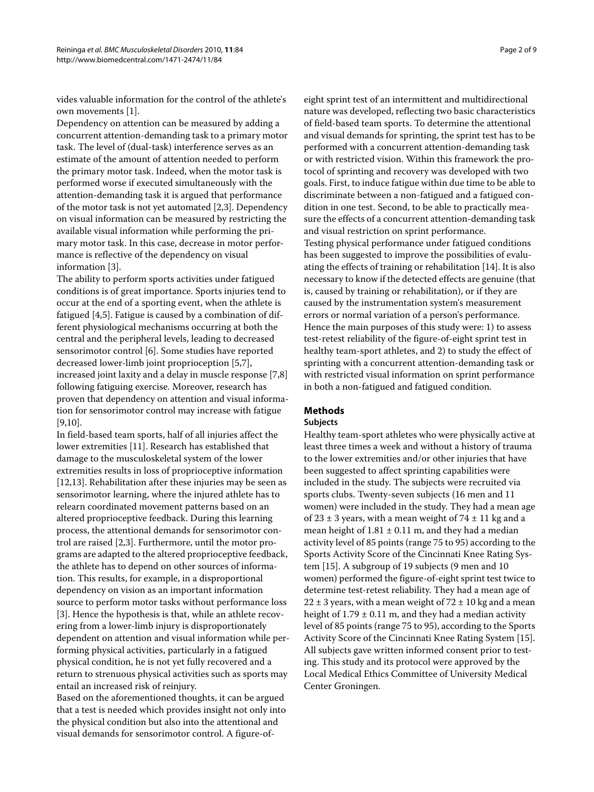vides valuable information for the control of the athlete's own movements [[1\]](#page-8-0).

Dependency on attention can be measured by adding a concurrent attention-demanding task to a primary motor task. The level of (dual-task) interference serves as an estimate of the amount of attention needed to perform the primary motor task. Indeed, when the motor task is performed worse if executed simultaneously with the attention-demanding task it is argued that performance of the motor task is not yet automated [\[2](#page-8-1)[,3](#page-8-2)]. Dependency on visual information can be measured by restricting the available visual information while performing the primary motor task. In this case, decrease in motor performance is reflective of the dependency on visual information [\[3](#page-8-2)].

The ability to perform sports activities under fatigued conditions is of great importance. Sports injuries tend to occur at the end of a sporting event, when the athlete is fatigued [\[4](#page-8-3),[5\]](#page-8-4). Fatigue is caused by a combination of different physiological mechanisms occurring at both the central and the peripheral levels, leading to decreased sensorimotor control [[6\]](#page-8-5). Some studies have reported decreased lower-limb joint proprioception [\[5](#page-8-4)[,7](#page-8-6)], increased joint laxity and a delay in muscle response [\[7](#page-8-6)[,8](#page-8-7)] following fatiguing exercise. Moreover, research has proven that dependency on attention and visual information for sensorimotor control may increase with fatigue [[9,](#page-8-8)[10\]](#page-8-9).

In field-based team sports, half of all injuries affect the lower extremities [[11\]](#page-8-10). Research has established that damage to the musculoskeletal system of the lower extremities results in loss of proprioceptive information [[12,](#page-8-11)[13\]](#page-8-12). Rehabilitation after these injuries may be seen as sensorimotor learning, where the injured athlete has to relearn coordinated movement patterns based on an altered proprioceptive feedback. During this learning process, the attentional demands for sensorimotor control are raised [[2,](#page-8-1)[3\]](#page-8-2). Furthermore, until the motor programs are adapted to the altered proprioceptive feedback, the athlete has to depend on other sources of information. This results, for example, in a disproportional dependency on vision as an important information source to perform motor tasks without performance loss [[3\]](#page-8-2). Hence the hypothesis is that, while an athlete recovering from a lower-limb injury is disproportionately dependent on attention and visual information while performing physical activities, particularly in a fatigued physical condition, he is not yet fully recovered and a return to strenuous physical activities such as sports may entail an increased risk of reinjury.

Based on the aforementioned thoughts, it can be argued that a test is needed which provides insight not only into the physical condition but also into the attentional and visual demands for sensorimotor control. A figure-ofeight sprint test of an intermittent and multidirectional nature was developed, reflecting two basic characteristics of field-based team sports. To determine the attentional and visual demands for sprinting, the sprint test has to be performed with a concurrent attention-demanding task or with restricted vision. Within this framework the protocol of sprinting and recovery was developed with two goals. First, to induce fatigue within due time to be able to discriminate between a non-fatigued and a fatigued condition in one test. Second, to be able to practically measure the effects of a concurrent attention-demanding task and visual restriction on sprint performance. Testing physical performance under fatigued conditions has been suggested to improve the possibilities of evaluating the effects of training or rehabilitation [\[14](#page-8-13)]. It is also necessary to know if the detected effects are genuine (that is, caused by training or rehabilitation), or if they are caused by the instrumentation system's measurement errors or normal variation of a person's performance. Hence the main purposes of this study were: 1) to assess test-retest reliability of the figure-of-eight sprint test in

healthy team-sport athletes, and 2) to study the effect of sprinting with a concurrent attention-demanding task or with restricted visual information on sprint performance in both a non-fatigued and fatigued condition.

# **Methods**

# **Subjects**

Healthy team-sport athletes who were physically active at least three times a week and without a history of trauma to the lower extremities and/or other injuries that have been suggested to affect sprinting capabilities were included in the study. The subjects were recruited via sports clubs. Twenty-seven subjects (16 men and 11 women) were included in the study. They had a mean age of  $23 \pm 3$  years, with a mean weight of  $74 \pm 11$  kg and a mean height of  $1.81 \pm 0.11$  m, and they had a median activity level of 85 points (range 75 to 95) according to the Sports Activity Score of the Cincinnati Knee Rating System [\[15\]](#page-8-14). A subgroup of 19 subjects (9 men and 10 women) performed the figure-of-eight sprint test twice to determine test-retest reliability. They had a mean age of  $22 \pm 3$  years, with a mean weight of  $72 \pm 10$  kg and a mean height of  $1.79 \pm 0.11$  m, and they had a median activity level of 85 points (range 75 to 95), according to the Sports Activity Score of the Cincinnati Knee Rating System [\[15\]](#page-8-14). All subjects gave written informed consent prior to testing. This study and its protocol were approved by the Local Medical Ethics Committee of University Medical Center Groningen.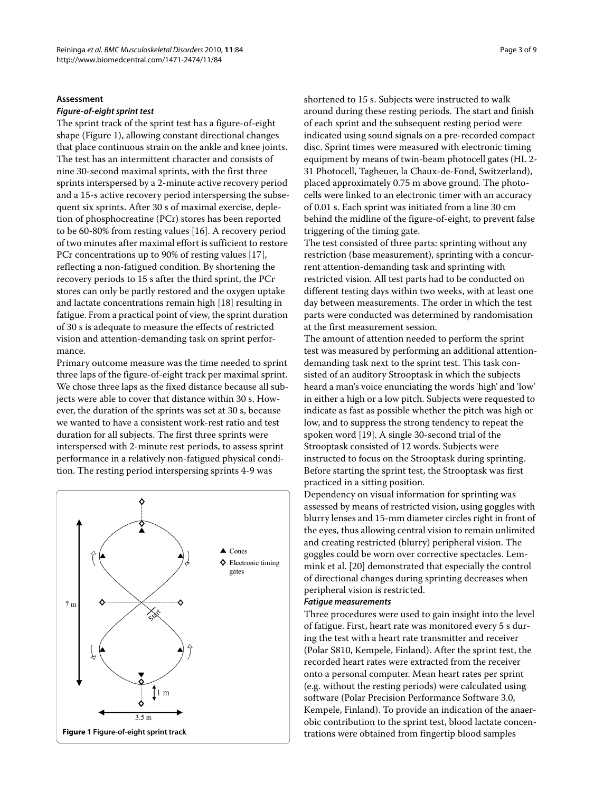#### **Assessment**

#### **Figure-of-eight sprint test**

The sprint track of the sprint test has a figure-of-eight shape (Figure [1\)](#page-2-0), allowing constant directional changes that place continuous strain on the ankle and knee joints. The test has an intermittent character and consists of nine 30-second maximal sprints, with the first three sprints interspersed by a 2-minute active recovery period and a 15-s active recovery period interspersing the subsequent six sprints. After 30 s of maximal exercise, depletion of phosphocreatine (PCr) stores has been reported to be 60-80% from resting values [\[16](#page-8-15)]. A recovery period of two minutes after maximal effort is sufficient to restore PCr concentrations up to 90% of resting values [\[17](#page-8-16)], reflecting a non-fatigued condition. By shortening the recovery periods to 15 s after the third sprint, the PCr stores can only be partly restored and the oxygen uptake and lactate concentrations remain high [\[18](#page-8-17)] resulting in fatigue. From a practical point of view, the sprint duration of 30 s is adequate to measure the effects of restricted vision and attention-demanding task on sprint performance.

Primary outcome measure was the time needed to sprint three laps of the figure-of-eight track per maximal sprint. We chose three laps as the fixed distance because all subjects were able to cover that distance within 30 s. However, the duration of the sprints was set at 30 s, because we wanted to have a consistent work-rest ratio and test duration for all subjects. The first three sprints were interspersed with 2-minute rest periods, to assess sprint performance in a relatively non-fatigued physical condition. The resting period interspersing sprints 4-9 was

<span id="page-2-0"></span>

shortened to 15 s. Subjects were instructed to walk around during these resting periods. The start and finish of each sprint and the subsequent resting period were indicated using sound signals on a pre-recorded compact disc. Sprint times were measured with electronic timing equipment by means of twin-beam photocell gates (HL 2- 31 Photocell, Tagheuer, la Chaux-de-Fond, Switzerland), placed approximately 0.75 m above ground. The photocells were linked to an electronic timer with an accuracy of 0.01 s. Each sprint was initiated from a line 30 cm behind the midline of the figure-of-eight, to prevent false triggering of the timing gate.

The test consisted of three parts: sprinting without any restriction (base measurement), sprinting with a concurrent attention-demanding task and sprinting with restricted vision. All test parts had to be conducted on different testing days within two weeks, with at least one day between measurements. The order in which the test parts were conducted was determined by randomisation at the first measurement session.

The amount of attention needed to perform the sprint test was measured by performing an additional attentiondemanding task next to the sprint test. This task consisted of an auditory Strooptask in which the subjects heard a man's voice enunciating the words 'high' and 'low' in either a high or a low pitch. Subjects were requested to indicate as fast as possible whether the pitch was high or low, and to suppress the strong tendency to repeat the spoken word [[19](#page-8-18)]. A single 30-second trial of the Strooptask consisted of 12 words. Subjects were instructed to focus on the Strooptask during sprinting. Before starting the sprint test, the Strooptask was first practiced in a sitting position.

Dependency on visual information for sprinting was assessed by means of restricted vision, using goggles with blurry lenses and 15-mm diameter circles right in front of the eyes, thus allowing central vision to remain unlimited and creating restricted (blurry) peripheral vision. The goggles could be worn over corrective spectacles. Lemmink et al. [\[20\]](#page-8-19) demonstrated that especially the control of directional changes during sprinting decreases when peripheral vision is restricted.

#### **Fatigue measurements**

Three procedures were used to gain insight into the level of fatigue. First, heart rate was monitored every 5 s during the test with a heart rate transmitter and receiver (Polar S810, Kempele, Finland). After the sprint test, the recorded heart rates were extracted from the receiver onto a personal computer. Mean heart rates per sprint (e.g. without the resting periods) were calculated using software (Polar Precision Performance Software 3.0, Kempele, Finland). To provide an indication of the anaerobic contribution to the sprint test, blood lactate concen-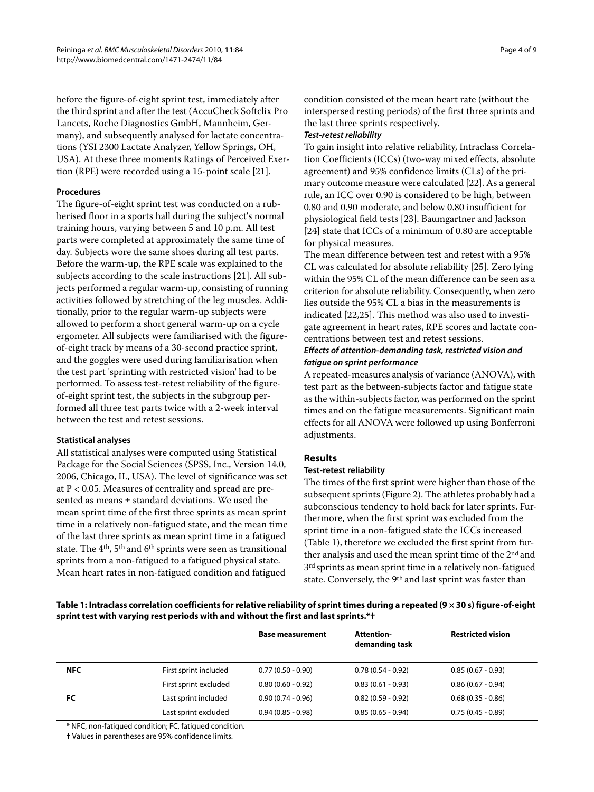before the figure-of-eight sprint test, immediately after the third sprint and after the test (AccuCheck Softclix Pro Lancets, Roche Diagnostics GmbH, Mannheim, Germany), and subsequently analysed for lactate concentrations (YSI 2300 Lactate Analyzer, Yellow Springs, OH, USA). At these three moments Ratings of Perceived Exertion (RPE) were recorded using a 15-point scale [\[21\]](#page-8-20).

#### **Procedures**

The figure-of-eight sprint test was conducted on a rubberised floor in a sports hall during the subject's normal training hours, varying between 5 and 10 p.m. All test parts were completed at approximately the same time of day. Subjects wore the same shoes during all test parts. Before the warm-up, the RPE scale was explained to the subjects according to the scale instructions [\[21\]](#page-8-20). All subjects performed a regular warm-up, consisting of running activities followed by stretching of the leg muscles. Additionally, prior to the regular warm-up subjects were allowed to perform a short general warm-up on a cycle ergometer. All subjects were familiarised with the figureof-eight track by means of a 30-second practice sprint, and the goggles were used during familiarisation when the test part 'sprinting with restricted vision' had to be performed. To assess test-retest reliability of the figureof-eight sprint test, the subjects in the subgroup performed all three test parts twice with a 2-week interval between the test and retest sessions.

#### **Statistical analyses**

All statistical analyses were computed using Statistical Package for the Social Sciences (SPSS, Inc., Version 14.0, 2006, Chicago, IL, USA). The level of significance was set at P < 0.05. Measures of centrality and spread are presented as means ± standard deviations. We used the mean sprint time of the first three sprints as mean sprint time in a relatively non-fatigued state, and the mean time of the last three sprints as mean sprint time in a fatigued state. The 4th, 5th and 6th sprints were seen as transitional sprints from a non-fatigued to a fatigued physical state. Mean heart rates in non-fatigued condition and fatigued

condition consisted of the mean heart rate (without the interspersed resting periods) of the first three sprints and the last three sprints respectively.

#### **Test-retest reliability**

To gain insight into relative reliability, Intraclass Correlation Coefficients (ICCs) (two-way mixed effects, absolute agreement) and 95% confidence limits (CLs) of the primary outcome measure were calculated [\[22](#page-8-21)]. As a general rule, an ICC over 0.90 is considered to be high, between 0.80 and 0.90 moderate, and below 0.80 insufficient for physiological field tests [[23\]](#page-8-22). Baumgartner and Jackson [[24\]](#page-8-23) state that ICCs of a minimum of 0.80 are acceptable for physical measures.

The mean difference between test and retest with a 95% CL was calculated for absolute reliability [\[25\]](#page-8-24). Zero lying within the 95% CL of the mean difference can be seen as a criterion for absolute reliability. Consequently, when zero lies outside the 95% CL a bias in the measurements is indicated [\[22](#page-8-21)[,25](#page-8-24)]. This method was also used to investigate agreement in heart rates, RPE scores and lactate concentrations between test and retest sessions.

## **Effects of attention-demanding task, restricted vision and fatigue on sprint performance**

A repeated-measures analysis of variance (ANOVA), with test part as the between-subjects factor and fatigue state as the within-subjects factor, was performed on the sprint times and on the fatigue measurements. Significant main effects for all ANOVA were followed up using Bonferroni adjustments.

### **Results**

### **Test-retest reliability**

The times of the first sprint were higher than those of the subsequent sprints (Figure [2\)](#page-4-0). The athletes probably had a subconscious tendency to hold back for later sprints. Furthermore, when the first sprint was excluded from the sprint time in a non-fatigued state the ICCs increased (Table 1), therefore we excluded the first sprint from further analysis and used the mean sprint time of the 2<sup>nd</sup> and 3rd sprints as mean sprint time in a relatively non-fatigued state. Conversely, the 9th and last sprint was faster than

**Table 1: Intraclass correlation coefficients for relative reliability of sprint times during a repeated (9 × 30 s) figure-of-eight sprint test with varying rest periods with and without the first and last sprints.\*†**

|            |                       | <b>Base measurement</b> | <b>Attention-</b><br>demanding task | <b>Restricted vision</b> |
|------------|-----------------------|-------------------------|-------------------------------------|--------------------------|
| <b>NFC</b> | First sprint included | $0.77(0.50 - 0.90)$     | $0.78(0.54 - 0.92)$                 | $0.85(0.67 - 0.93)$      |
|            | First sprint excluded | $0.80(0.60 - 0.92)$     | $0.83(0.61 - 0.93)$                 | $0.86(0.67 - 0.94)$      |
| FC         | Last sprint included  | $0.90(0.74 - 0.96)$     | $0.82(0.59 - 0.92)$                 | $0.68(0.35 - 0.86)$      |
|            | Last sprint excluded  | $0.94(0.85 - 0.98)$     | $0.85(0.65 - 0.94)$                 | $0.75(0.45 - 0.89)$      |

\* NFC, non-fatigued condition; FC, fatigued condition.

† Values in parentheses are 95% confidence limits.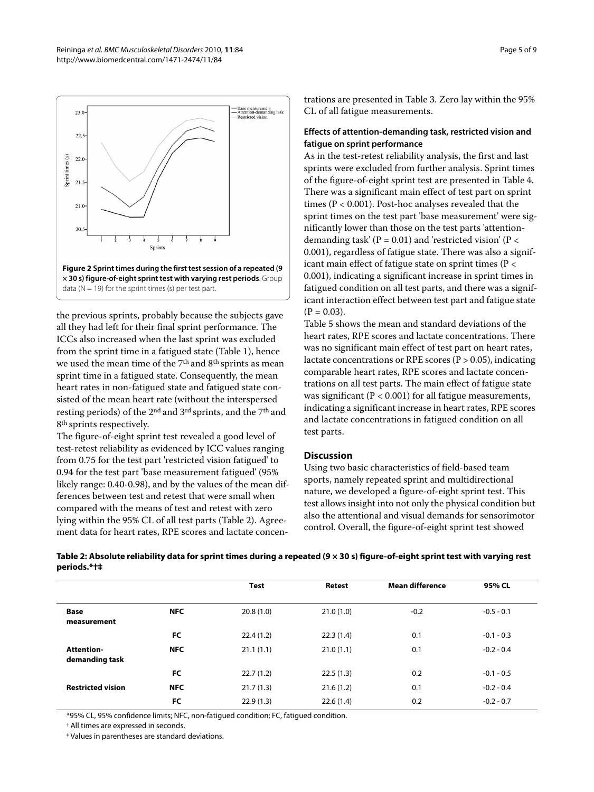<span id="page-4-0"></span>

the previous sprints, probably because the subjects gave all they had left for their final sprint performance. The ICCs also increased when the last sprint was excluded from the sprint time in a fatigued state (Table 1), hence we used the mean time of the 7<sup>th</sup> and 8<sup>th</sup> sprints as mean sprint time in a fatigued state. Consequently, the mean heart rates in non-fatigued state and fatigued state consisted of the mean heart rate (without the interspersed resting periods) of the 2nd and 3rd sprints, and the 7th and 8<sup>th</sup> sprints respectively.

The figure-of-eight sprint test revealed a good level of test-retest reliability as evidenced by ICC values ranging from 0.75 for the test part 'restricted vision fatigued' to 0.94 for the test part 'base measurement fatigued' (95% likely range: 0.40-0.98), and by the values of the mean differences between test and retest that were small when compared with the means of test and retest with zero lying within the 95% CL of all test parts (Table 2). Agreement data for heart rates, RPE scores and lactate concentrations are presented in Table 3. Zero lay within the 95% CL of all fatigue measurements.

## **Effects of attention-demanding task, restricted vision and fatigue on sprint performance**

As in the test-retest reliability analysis, the first and last sprints were excluded from further analysis. Sprint times of the figure-of-eight sprint test are presented in Table 4. There was a significant main effect of test part on sprint times (P < 0.001). Post-hoc analyses revealed that the sprint times on the test part 'base measurement' were significantly lower than those on the test parts 'attentiondemanding task' ( $P = 0.01$ ) and 'restricted vision' ( $P <$ 0.001), regardless of fatigue state. There was also a significant main effect of fatigue state on sprint times (P < 0.001), indicating a significant increase in sprint times in fatigued condition on all test parts, and there was a significant interaction effect between test part and fatigue state  $(P = 0.03)$ 

Table 5 shows the mean and standard deviations of the heart rates, RPE scores and lactate concentrations. There was no significant main effect of test part on heart rates, lactate concentrations or RPE scores ( $P > 0.05$ ), indicating comparable heart rates, RPE scores and lactate concentrations on all test parts. The main effect of fatigue state was significant ( $P < 0.001$ ) for all fatigue measurements, indicating a significant increase in heart rates, RPE scores and lactate concentrations in fatigued condition on all test parts.

#### **Discussion**

Using two basic characteristics of field-based team sports, namely repeated sprint and multidirectional nature, we developed a figure-of-eight sprint test. This test allows insight into not only the physical condition but also the attentional and visual demands for sensorimotor control. Overall, the figure-of-eight sprint test showed

| Table 2: Absolute reliability data for sprint times during a repeated (9 $\times$ 30 s) figure-of-eight sprint test with varying rest |  |
|---------------------------------------------------------------------------------------------------------------------------------------|--|
| periods.*†‡                                                                                                                           |  |

|                                     |            | <b>Test</b> | Retest    | <b>Mean difference</b> | 95% CL       |
|-------------------------------------|------------|-------------|-----------|------------------------|--------------|
| <b>Base</b><br>measurement          | <b>NFC</b> | 20.8(1.0)   | 21.0(1.0) | $-0.2$                 | $-0.5 - 0.1$ |
|                                     | FC         | 22.4(1.2)   | 22.3(1.4) | 0.1                    | $-0.1 - 0.3$ |
| <b>Attention-</b><br>demanding task | <b>NFC</b> | 21.1(1.1)   | 21.0(1.1) | 0.1                    | $-0.2 - 0.4$ |
|                                     | FC         | 22.7(1.2)   | 22.5(1.3) | 0.2                    | $-0.1 - 0.5$ |
| <b>Restricted vision</b>            | <b>NFC</b> | 21.7(1.3)   | 21.6(1.2) | 0.1                    | $-0.2 - 0.4$ |
|                                     | FC         | 22.9(1.3)   | 22.6(1.4) | 0.2                    | $-0.2 - 0.7$ |

\*95% CL, 95% confidence limits; NFC, non-fatigued condition; FC, fatigued condition.

† All times are expressed in seconds.

‡ Values in parentheses are standard deviations.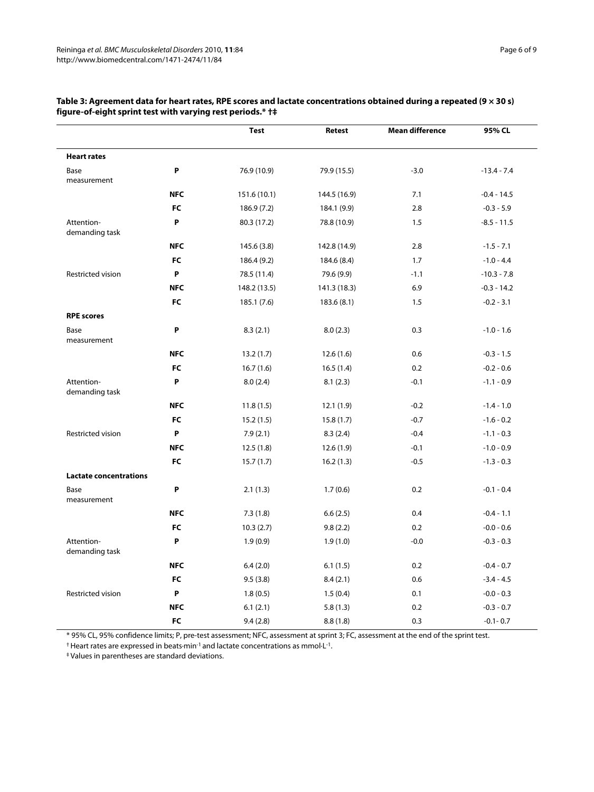|                               |            | <b>Test</b>  | <b>Retest</b> | <b>Mean difference</b> | 95% CL        |
|-------------------------------|------------|--------------|---------------|------------------------|---------------|
| <b>Heart rates</b>            |            |              |               |                        |               |
| Base<br>measurement           | P          | 76.9 (10.9)  | 79.9 (15.5)   | $-3.0$                 | $-13.4 - 7.4$ |
|                               | <b>NFC</b> | 151.6 (10.1) | 144.5 (16.9)  | 7.1                    | $-0.4 - 14.5$ |
|                               | FC         | 186.9 (7.2)  | 184.1 (9.9)   | 2.8                    | $-0.3 - 5.9$  |
| Attention-<br>demanding task  | P          | 80.3 (17.2)  | 78.8 (10.9)   | 1.5                    | $-8.5 - 11.5$ |
|                               | <b>NFC</b> | 145.6(3.8)   | 142.8 (14.9)  | 2.8                    | $-1.5 - 7.1$  |
|                               | FC         | 186.4 (9.2)  | 184.6 (8.4)   | 1.7                    | $-1.0 - 4.4$  |
| <b>Restricted vision</b>      | P          | 78.5 (11.4)  | 79.6 (9.9)    | $-1.1$                 | $-10.3 - 7.8$ |
|                               | <b>NFC</b> | 148.2 (13.5) | 141.3 (18.3)  | 6.9                    | $-0.3 - 14.2$ |
|                               | FC         | 185.1 (7.6)  | 183.6(8.1)    | 1.5                    | $-0.2 - 3.1$  |
| <b>RPE scores</b>             |            |              |               |                        |               |
| Base<br>measurement           | P          | 8.3(2.1)     | 8.0(2.3)      | 0.3                    | $-1.0 - 1.6$  |
|                               | <b>NFC</b> | 13.2(1.7)    | 12.6(1.6)     | 0.6                    | $-0.3 - 1.5$  |
|                               | FC         | 16.7(1.6)    | 16.5(1.4)     | 0.2                    | $-0.2 - 0.6$  |
| Attention-<br>demanding task  | P          | 8.0(2.4)     | 8.1(2.3)      | $-0.1$                 | $-1.1 - 0.9$  |
|                               | <b>NFC</b> | 11.8(1.5)    | 12.1(1.9)     | $-0.2$                 | $-1.4 - 1.0$  |
|                               | FC         | 15.2(1.5)    | 15.8(1.7)     | $-0.7$                 | $-1.6 - 0.2$  |
| Restricted vision             | P          | 7.9(2.1)     | 8.3(2.4)      | $-0.4$                 | $-1.1 - 0.3$  |
|                               | <b>NFC</b> | 12.5(1.8)    | 12.6(1.9)     | $-0.1$                 | $-1.0 - 0.9$  |
|                               | FC         | 15.7(1.7)    | 16.2(1.3)     | $-0.5$                 | $-1.3 - 0.3$  |
| <b>Lactate concentrations</b> |            |              |               |                        |               |
| Base<br>measurement           | P          | 2.1(1.3)     | 1.7(0.6)      | 0.2                    | $-0.1 - 0.4$  |
|                               | <b>NFC</b> | 7.3(1.8)     | 6.6(2.5)      | 0.4                    | $-0.4 - 1.1$  |
|                               | FC         | 10.3(2.7)    | 9.8(2.2)      | 0.2                    | $-0.0 - 0.6$  |
| Attention-<br>demanding task  | P          | 1.9(0.9)     | 1.9(1.0)      | $-0.0$                 | $-0.3 - 0.3$  |
|                               | <b>NFC</b> | 6.4(2.0)     | 6.1(1.5)      | 0.2                    | $-0.4 - 0.7$  |
|                               | FC         | 9.5(3.8)     | 8.4(2.1)      | 0.6                    | $-3.4 - 4.5$  |
| <b>Restricted vision</b>      | P          | 1.8(0.5)     | 1.5(0.4)      | 0.1                    | $-0.0 - 0.3$  |
|                               | <b>NFC</b> | 6.1(2.1)     | 5.8(1.3)      | 0.2                    | $-0.3 - 0.7$  |
|                               | FC         | 9.4(2.8)     | 8.8(1.8)      | 0.3                    | $-0.1 - 0.7$  |

# **Table 3: Agreement data for heart rates, RPE scores and lactate concentrations obtained during a repeated (9 × 30 s) figure-of-eight sprint test with varying rest periods.\* †‡**

\* 95% CL, 95% confidence limits; P, pre-test assessment; NFC, assessment at sprint 3; FC, assessment at the end of the sprint test.

† Heart rates are expressed in beats·min-1 and lactate concentrations as mmol·L-1.

‡ Values in parentheses are standard deviations.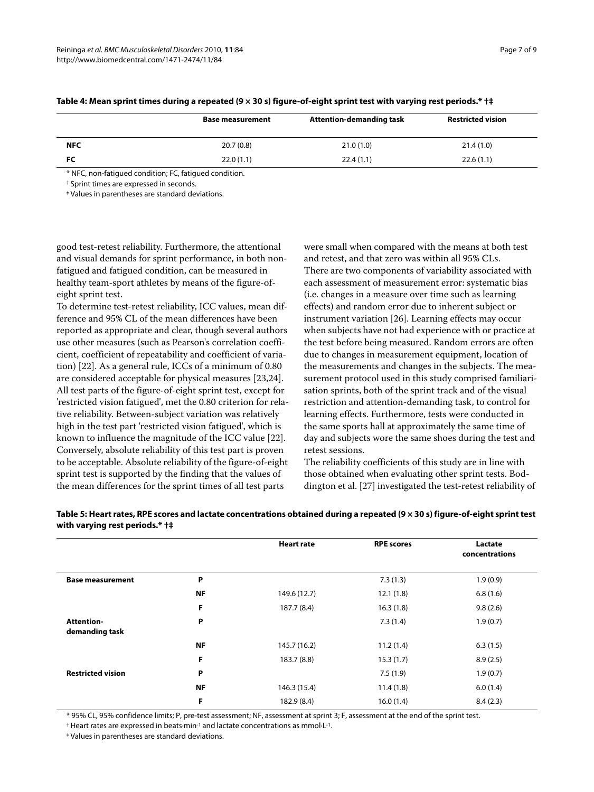|            | <b>Base measurement</b> | <b>Attention-demanding task</b> | <b>Restricted vision</b> |
|------------|-------------------------|---------------------------------|--------------------------|
| <b>NFC</b> | 20.7(0.8)               | 21.0(1.0)                       | 21.4 (1.0)               |
| FC         | 22.0(1.1)               | 22.4(1.1)                       | 22.6(1.1)                |

#### **Table 4: Mean sprint times during a repeated (9 × 30 s) figure-of-eight sprint test with varying rest periods.\* †‡**

\* NFC, non-fatigued condition; FC, fatigued condition.

† Sprint times are expressed in seconds.

‡ Values in parentheses are standard deviations.

good test-retest reliability. Furthermore, the attentional and visual demands for sprint performance, in both nonfatigued and fatigued condition, can be measured in healthy team-sport athletes by means of the figure-ofeight sprint test.

To determine test-retest reliability, ICC values, mean difference and 95% CL of the mean differences have been reported as appropriate and clear, though several authors use other measures (such as Pearson's correlation coefficient, coefficient of repeatability and coefficient of variation) [[22\]](#page-8-21). As a general rule, ICCs of a minimum of 0.80 are considered acceptable for physical measures [[23,](#page-8-22)[24\]](#page-8-23). All test parts of the figure-of-eight sprint test, except for 'restricted vision fatigued', met the 0.80 criterion for relative reliability. Between-subject variation was relatively high in the test part 'restricted vision fatigued', which is known to influence the magnitude of the ICC value [\[22](#page-8-21)]. Conversely, absolute reliability of this test part is proven to be acceptable. Absolute reliability of the figure-of-eight sprint test is supported by the finding that the values of the mean differences for the sprint times of all test parts

were small when compared with the means at both test and retest, and that zero was within all 95% CLs. There are two components of variability associated with each assessment of measurement error: systematic bias (i.e. changes in a measure over time such as learning effects) and random error due to inherent subject or instrument variation [[26](#page-8-25)]. Learning effects may occur when subjects have not had experience with or practice at the test before being measured. Random errors are often due to changes in measurement equipment, location of the measurements and changes in the subjects. The measurement protocol used in this study comprised familiarisation sprints, both of the sprint track and of the visual restriction and attention-demanding task, to control for learning effects. Furthermore, tests were conducted in the same sports hall at approximately the same time of day and subjects wore the same shoes during the test and retest sessions.

The reliability coefficients of this study are in line with those obtained when evaluating other sprint tests. Boddington et al. [\[27](#page-8-26)] investigated the test-retest reliability of

|                                     |           | <b>Heart rate</b> | <b>RPE scores</b> | Lactate<br>concentrations |
|-------------------------------------|-----------|-------------------|-------------------|---------------------------|
| <b>Base measurement</b>             | P         |                   | 7.3(1.3)          | 1.9(0.9)                  |
|                                     | <b>NF</b> | 149.6 (12.7)      | 12.1(1.8)         | 6.8(1.6)                  |
|                                     | F         | 187.7 (8.4)       | 16.3(1.8)         | 9.8(2.6)                  |
| <b>Attention-</b><br>demanding task | P         |                   | 7.3(1.4)          | 1.9(0.7)                  |
|                                     | <b>NF</b> | 145.7 (16.2)      | 11.2(1.4)         | 6.3(1.5)                  |
|                                     | F         | 183.7 (8.8)       | 15.3(1.7)         | 8.9(2.5)                  |
| <b>Restricted vision</b>            | P         |                   | 7.5(1.9)          | 1.9(0.7)                  |
|                                     | <b>NF</b> | 146.3 (15.4)      | 11.4(1.8)         | 6.0(1.4)                  |
|                                     | F         | 182.9 (8.4)       | 16.0(1.4)         | 8.4(2.3)                  |

### **Table 5: Heart rates, RPE scores and lactate concentrations obtained during a repeated (9 × 30 s) figure-of-eight sprint test with varying rest periods.\* †‡**

\* 95% CL, 95% confidence limits; P, pre-test assessment; NF, assessment at sprint 3; F, assessment at the end of the sprint test.

† Heart rates are expressed in beats·min-1 and lactate concentrations as mmol·L-1.

‡ Values in parentheses are standard deviations.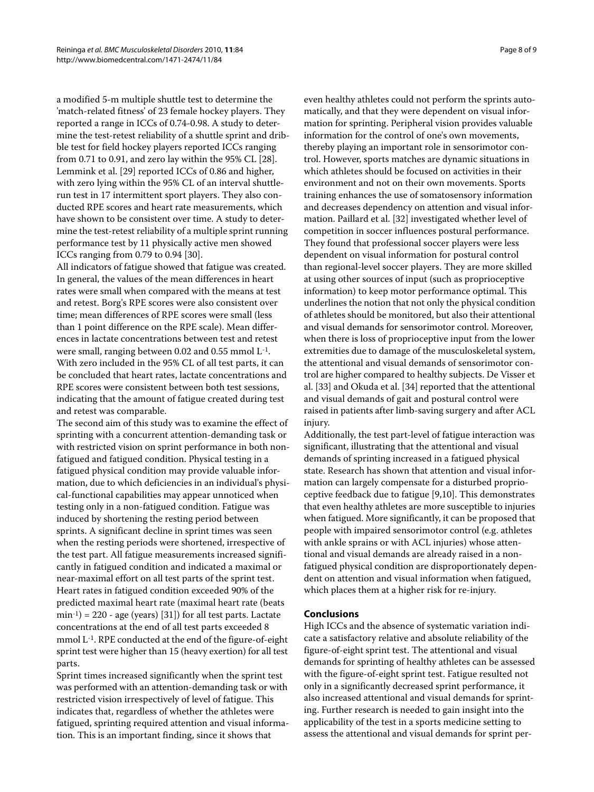a modified 5-m multiple shuttle test to determine the 'match-related fitness' of 23 female hockey players. They reported a range in ICCs of 0.74-0.98. A study to determine the test-retest reliability of a shuttle sprint and dribble test for field hockey players reported ICCs ranging from 0.71 to 0.91, and zero lay within the 95% CL [[28](#page-8-27)]. Lemmink et al. [\[29](#page-8-28)] reported ICCs of 0.86 and higher, with zero lying within the 95% CL of an interval shuttlerun test in 17 intermittent sport players. They also conducted RPE scores and heart rate measurements, which have shown to be consistent over time. A study to determine the test-retest reliability of a multiple sprint running performance test by 11 physically active men showed ICCs ranging from 0.79 to 0.94 [[30\]](#page-8-29).

All indicators of fatigue showed that fatigue was created. In general, the values of the mean differences in heart rates were small when compared with the means at test and retest. Borg's RPE scores were also consistent over time; mean differences of RPE scores were small (less than 1 point difference on the RPE scale). Mean differences in lactate concentrations between test and retest were small, ranging between 0.02 and 0.55 mmol L-1. With zero included in the 95% CL of all test parts, it can be concluded that heart rates, lactate concentrations and RPE scores were consistent between both test sessions, indicating that the amount of fatigue created during test and retest was comparable.

The second aim of this study was to examine the effect of sprinting with a concurrent attention-demanding task or with restricted vision on sprint performance in both nonfatigued and fatigued condition. Physical testing in a fatigued physical condition may provide valuable information, due to which deficiencies in an individual's physical-functional capabilities may appear unnoticed when testing only in a non-fatigued condition. Fatigue was induced by shortening the resting period between sprints. A significant decline in sprint times was seen when the resting periods were shortened, irrespective of the test part. All fatigue measurements increased significantly in fatigued condition and indicated a maximal or near-maximal effort on all test parts of the sprint test. Heart rates in fatigued condition exceeded 90% of the predicted maximal heart rate (maximal heart rate (beats  $min^{-1}$ ) = 220 - age (years) [\[31](#page-8-30)]) for all test parts. Lactate concentrations at the end of all test parts exceeded 8 mmol L-1. RPE conducted at the end of the figure-of-eight sprint test were higher than 15 (heavy exertion) for all test parts.

Sprint times increased significantly when the sprint test was performed with an attention-demanding task or with restricted vision irrespectively of level of fatigue. This indicates that, regardless of whether the athletes were fatigued, sprinting required attention and visual information. This is an important finding, since it shows that

even healthy athletes could not perform the sprints automatically, and that they were dependent on visual information for sprinting. Peripheral vision provides valuable information for the control of one's own movements, thereby playing an important role in sensorimotor control. However, sports matches are dynamic situations in which athletes should be focused on activities in their environment and not on their own movements. Sports training enhances the use of somatosensory information and decreases dependency on attention and visual information. Paillard et al. [[32](#page-8-31)] investigated whether level of competition in soccer influences postural performance. They found that professional soccer players were less dependent on visual information for postural control than regional-level soccer players. They are more skilled at using other sources of input (such as proprioceptive information) to keep motor performance optimal. This underlines the notion that not only the physical condition of athletes should be monitored, but also their attentional and visual demands for sensorimotor control. Moreover, when there is loss of proprioceptive input from the lower extremities due to damage of the musculoskeletal system, the attentional and visual demands of sensorimotor control are higher compared to healthy subjects. De Visser et al. [\[33](#page-8-32)] and Okuda et al. [[34\]](#page-8-33) reported that the attentional and visual demands of gait and postural control were raised in patients after limb-saving surgery and after ACL injury.

Additionally, the test part-level of fatigue interaction was significant, illustrating that the attentional and visual demands of sprinting increased in a fatigued physical state. Research has shown that attention and visual information can largely compensate for a disturbed proprioceptive feedback due to fatigue [[9,](#page-8-8)[10\]](#page-8-9). This demonstrates that even healthy athletes are more susceptible to injuries when fatigued. More significantly, it can be proposed that people with impaired sensorimotor control (e.g. athletes with ankle sprains or with ACL injuries) whose attentional and visual demands are already raised in a nonfatigued physical condition are disproportionately dependent on attention and visual information when fatigued, which places them at a higher risk for re-injury.

#### **Conclusions**

High ICCs and the absence of systematic variation indicate a satisfactory relative and absolute reliability of the figure-of-eight sprint test. The attentional and visual demands for sprinting of healthy athletes can be assessed with the figure-of-eight sprint test. Fatigue resulted not only in a significantly decreased sprint performance, it also increased attentional and visual demands for sprinting. Further research is needed to gain insight into the applicability of the test in a sports medicine setting to assess the attentional and visual demands for sprint per-